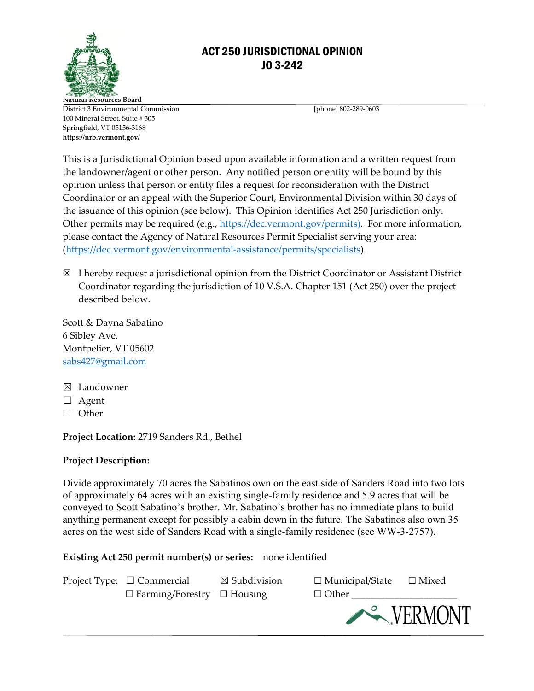

## ACT 250 JURISDICTIONAL OPINION JO 3-242

**Natural Resources Board** District 3 Environmental Commission [phone] 802-289-0603 100 Mineral Street, Suite # 305 Springfield, VT 05156-3168 **https://nrb.vermont.gov/**

This is a Jurisdictional Opinion based upon available information and a written request from the landowner/agent or other person. Any notified person or entity will be bound by this opinion unless that person or entity files a request for reconsideration with the District Coordinator or an appeal with the Superior Court, Environmental Division within 30 days of the issuance of this opinion (see below).This Opinion identifies Act 250 Jurisdiction only. Other permits may be required (e.g., [https://dec.vermont.gov/permits\)](https://dec.vermont.gov/permits). For more information, please contact the Agency of Natural Resources Permit Specialist serving your area: [\(https://dec.vermont.gov/environmental-assistance/permits/specialists\)](https://dec.vermont.gov/environmental-assistance/permits/specialists).

☒ I hereby request a jurisdictional opinion from the District Coordinator or Assistant District Coordinator regarding the jurisdiction of 10 V.S.A. Chapter 151 (Act 250) over the project described below.

Scott & Dayna Sabatino 6 Sibley Ave. Montpelier, VT 05602 [sabs427@gmail.com](mailto:sabs427@gmail.com)

- ☒ Landowner
- ☐ Agent
- ☐ Other

**Project Location:** 2719 Sanders Rd., Bethel

## **Project Description:**

Divide approximately 70 acres the Sabatinos own on the east side of Sanders Road into two lots of approximately 64 acres with an existing single-family residence and 5.9 acres that will be conveyed to Scott Sabatino's brother. Mr. Sabatino's brother has no immediate plans to build anything permanent except for possibly a cabin down in the future. The Sabatinos also own 35 acres on the west side of Sanders Road with a single-family residence (see WW-3-2757).

**Existing Act 250 permit number(s) or series:** none identified

| Project Type: $\Box$ Commercial<br>$\Box$ Farming/Forestry $\Box$ Housing | $\boxtimes$ Subdivision | $\Box$ Municipal/State $\Box$ Mixed<br>$\Box$ Other |         |
|---------------------------------------------------------------------------|-------------------------|-----------------------------------------------------|---------|
|                                                                           |                         |                                                     | VERMONT |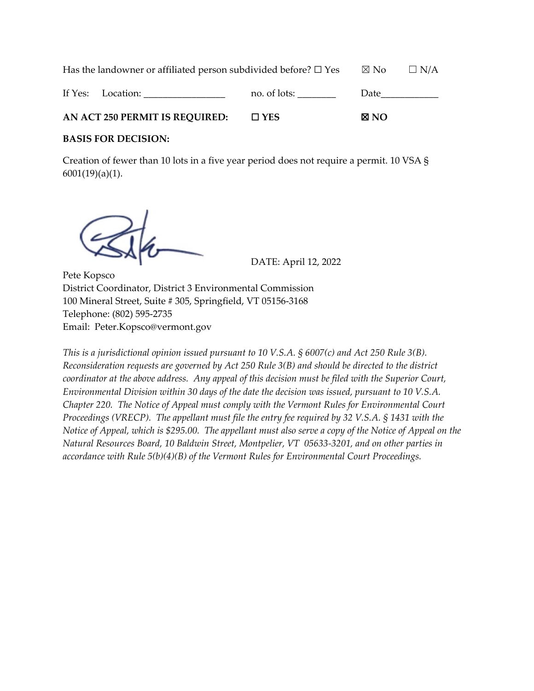Has the landowner or affiliated person subdivided before?  $\Box$  Yes  $\Box$  No  $\Box$  N/A If Yes: Location: \_\_\_\_\_\_\_\_\_\_\_\_\_\_\_\_\_\_\_\_\_\_\_ no. of lots: \_\_\_\_\_\_\_\_\_\_\_\_ Date\_ **AN ACT 250 PERMIT IS REQUIRED:** ☐ **YES** ☒ **NO**

## **BASIS FOR DECISION:**

Creation of fewer than 10 lots in a five year period does not require a permit. 10 VSA § 6001(19)(a)(1).

DATE: April 12, 2022

Pete Kopsco District Coordinator, District 3 Environmental Commission 100 Mineral Street, Suite # 305, Springfield, VT 05156-3168 Telephone: (802) 595-2735 Email: Peter.Kopsco@vermont.gov

*This is a jurisdictional opinion issued pursuant to 10 V.S.A. § 6007(c) and Act 250 Rule 3(B). Reconsideration requests are governed by Act 250 Rule 3(B) and should be directed to the district coordinator at the above address. Any appeal of this decision must be filed with the Superior Court, Environmental Division within 30 days of the date the decision was issued, pursuant to 10 V.S.A. Chapter 220. The Notice of Appeal must comply with the Vermont Rules for Environmental Court Proceedings (VRECP). The appellant must file the entry fee required by 32 V.S.A. § 1431 with the Notice of Appeal, which is \$295.00. The appellant must also serve a copy of the Notice of Appeal on the Natural Resources Board, 10 Baldwin Street, Montpelier, VT 05633-3201, and on other parties in accordance with Rule 5(b)(4)(B) of the Vermont Rules for Environmental Court Proceedings.*